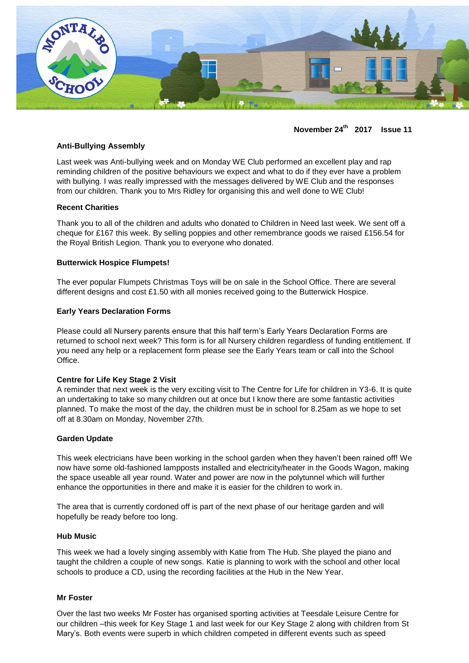

**November 24th 2017 Issue 11**

# **Anti-Bullying Assembly**

Last week was Anti-bullying week and on Monday WE Club performed an excellent play and rap reminding children of the positive behaviours we expect and what to do if they ever have a problem with bullying. I was really impressed with the messages delivered by WE Club and the responses from our children. Thank you to Mrs Ridley for organising this and well done to WE Club!

#### **Recent Charities**

Thank you to all of the children and adults who donated to Children in Need last week. We sent off a cheque for £167 this week. By selling poppies and other remembrance goods we raised £156.54 for the Royal British Legion. Thank you to everyone who donated.

#### **Butterwick Hospice Flumpets!**

The ever popular Flumpets Christmas Toys will be on sale in the School Office. There are several different designs and cost £1.50 with all monies received going to the Butterwick Hospice.

### **Early Years Declaration Forms**

Please could all Nursery parents ensure that this half term's Early Years Declaration Forms are returned to school next week? This form is for all Nursery children regardless of funding entitlement. If you need any help or a replacement form please see the Early Years team or call into the School Office.

#### **Centre for Life Key Stage 2 Visit**

A reminder that next week is the very exciting visit to The Centre for Life for children in Y3-6. It is quite an undertaking to take so many children out at once but I know there are some fantastic activities planned. To make the most of the day, the children must be in school for 8.25am as we hope to set off at 8.30am on Monday, November 27th.

#### **Garden Update**

This week electricians have been working in the school garden when they haven't been rained off! We now have some old-fashioned lampposts installed and electricity/heater in the Goods Wagon, making the space useable all year round. Water and power are now in the polytunnel which will further enhance the opportunities in there and make it is easier for the children to work in.

The area that is currently cordoned off is part of the next phase of our heritage garden and will hopefully be ready before too long.

#### **Hub Music**

This week we had a lovely singing assembly with Katie from The Hub. She played the piano and taught the children a couple of new songs. Katie is planning to work with the school and other local schools to produce a CD, using the recording facilities at the Hub in the New Year.

#### **Mr Foster**

Over the last two weeks Mr Foster has organised sporting activities at Teesdale Leisure Centre for our children –this week for Key Stage 1 and last week for our Key Stage 2 along with children from St Mary's. Both events were superb in which children competed in different events such as speed